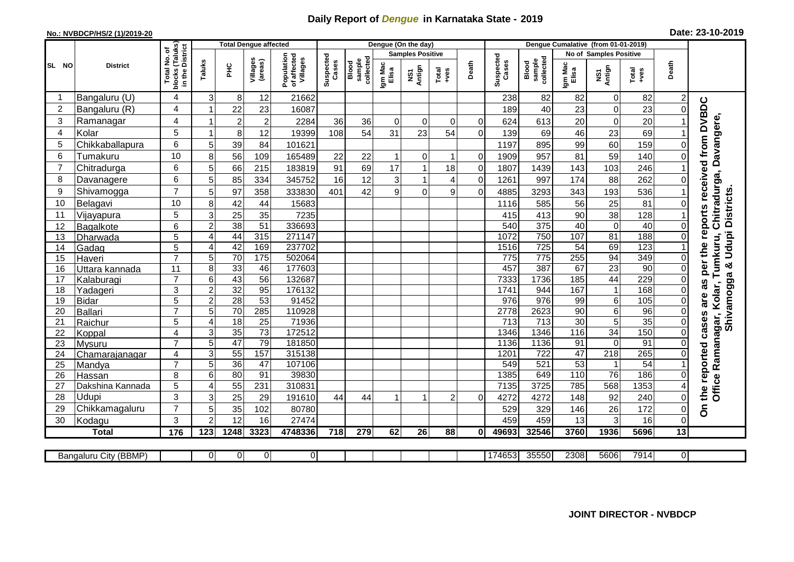## **Daily Report of** *Dengue* **in Karnataka State - 2019**

## **No.: NVBDCP/HS/2 (1)/2019-20**

| Date: 23-10-2019 |  |  |  |  |
|------------------|--|--|--|--|
|------------------|--|--|--|--|

|                |                       |                                  |                 | <b>Total Dengue affected</b> |                     |                                       |                         |                              |                  | Dengue (On the day) |                |                |                    |                              |                               |                 |                 |                      |                                                                |
|----------------|-----------------------|----------------------------------|-----------------|------------------------------|---------------------|---------------------------------------|-------------------------|------------------------------|------------------|---------------------|----------------|----------------|--------------------|------------------------------|-------------------------------|-----------------|-----------------|----------------------|----------------------------------------------------------------|
|                |                       | I No. of<br>(Taluks)<br>District |                 |                              |                     |                                       | <b>Samples Positive</b> |                              |                  |                     |                |                |                    |                              | <b>No of Samples Positive</b> |                 |                 |                      |                                                                |
| SL NO          | <b>District</b>       | Total<br>blocks<br>in the        | Taluks          | ΞÉ                           | Villages<br>(areas) | Population<br>of affected<br>Villages | Suspected<br>Cases      | sample<br>collected<br>Blood | Igm Mac<br>Elisa | NS1<br>Antign       | Total<br>+ves  | Death          | Suspected<br>Cases | collected<br>sample<br>Blood | Igm Mac<br>Elisa              | NS1<br>Antign   | Total<br>$+ves$ | Death                |                                                                |
|                | Bangaluru (U)         | 4                                | 3               | 8                            | 12                  | 21662                                 |                         |                              |                  |                     |                |                | 238                | 82                           | 82                            | 0               | 82              |                      |                                                                |
| $\overline{2}$ | Bangaluru (R)         | 4                                |                 | 22                           | 23                  | 16087                                 |                         |                              |                  |                     |                |                | 189                | 40                           | 23                            | 0               | 23              | 0                    |                                                                |
| 3              | Ramanagar             | $\overline{4}$                   |                 | $\overline{c}$               | $\overline{2}$      | 2284                                  | 36                      | 36                           | $\Omega$         | $\mathbf 0$         | $\Omega$       | $\Omega$       | 624                | 613                          | 20                            | $\mathbf 0$     | 20              |                      |                                                                |
| $\overline{4}$ | Kolar                 | 5                                |                 | 8                            | 12                  | 19399                                 | 108                     | 54                           | 31               | 23                  | 54             | $\Omega$       | 139                | 69                           | 46                            | 23              | 69              |                      |                                                                |
| 5              | Chikkaballapura       | 6                                | 5               | 39                           | 84                  | 101621                                |                         |                              |                  |                     |                |                | 1197               | 895                          | 99                            | 60              | 159             | 0                    |                                                                |
| 6              | Tumakuru              | 10                               | 8               | 56                           | 109                 | 165489                                | 22                      | 22                           | $\mathbf{1}$     | 0                   |                | $\overline{0}$ | 1909               | 957                          | 81                            | 59              | 140             | 0                    |                                                                |
| 7              | Chitradurga           | 6                                | 5               | 66                           | 215                 | 183819                                | 91                      | 69                           | 17               |                     | 18             | $\mathbf 0$    | 1807               | 1439                         | 143                           | 103             | 246             |                      |                                                                |
| 8              | Davanagere            | 6                                | 5               | 85                           | 334                 | 345752                                | 16                      | 12                           | 3                |                     | 4              | $\mathbf 0$    | 1261               | 997                          | 174                           | 88              | 262             | $\Omega$             |                                                                |
| 9              | Shivamogga            | $\overline{7}$                   | 5               | 97                           | 358                 | 333830                                | 401                     | 42                           | 9                | $\Omega$            | 9              | $\Omega$       | 4885               | 3293                         | 343                           | 193             | 536             |                      | per the reports received from DVBDC<br>Chitradurga, Davangere, |
| 10             | Belagavi              | 10                               | 8               | 42                           | 44                  | 15683                                 |                         |                              |                  |                     |                |                | 1116               | 585                          | 56                            | 25              | 81              |                      | Shivamogga & Udupi Districts.                                  |
| 11             | Vijayapura            | 5                                | 3               | $\overline{25}$              | 35                  | 7235                                  |                         |                              |                  |                     |                |                | 415                | 413                          | 90                            | 38              | 128             |                      |                                                                |
| 12             | Bagalkote             | 6                                | $\overline{c}$  | 38                           | 51                  | 336693                                |                         |                              |                  |                     |                |                | 540                | 375                          | 40                            | $\overline{0}$  | 40              | $\Omega$             |                                                                |
| 13             | Dharwada              | 5                                | $\overline{4}$  | 44                           | 315                 | 271147                                |                         |                              |                  |                     |                |                | 1072               | 750                          | 107                           | 81              | 188             | 0                    | Tumkuru,                                                       |
| 14             | Gadag                 | 5                                | 4               | 42                           | 169                 | 237702                                |                         |                              |                  |                     |                |                | 1516               | $\overline{725}$             | 54                            | 69              | 123             |                      |                                                                |
| 15             | Haveri                | $\overline{7}$                   | 5               | $\overline{70}$              | 175                 | 502064                                |                         |                              |                  |                     |                |                | 775                | 775                          | 255                           | 94              | 349             | $\Omega$             |                                                                |
| 16             | Uttara kannada        | 11                               | 8               | 33                           | 46                  | 177603                                |                         |                              |                  |                     |                |                | 457                | 387                          | 67                            | 23              | 90              | $\Omega$             |                                                                |
| 17             | Kalaburagi            | $\overline{7}$                   | $6\phantom{1}6$ | 43                           | $\overline{56}$     | 132687                                |                         |                              |                  |                     |                |                | 7333               | 1736                         | 185                           | 44              | 229             | $\mathbf{0}$         | as                                                             |
| 18             | Yadageri              | 3                                | $\overline{2}$  | 32                           | 95                  | 176132                                |                         |                              |                  |                     |                |                | 1741               | 944                          | 167                           | $\mathbf{1}$    | 168             | 0                    |                                                                |
| 19             | <b>Bidar</b>          | 5                                | $\overline{2}$  | 28                           | 53                  | 91452                                 |                         |                              |                  |                     |                |                | $\overline{976}$   | 976                          | 99                            | $\overline{6}$  | 105             | $\mathbf{0}$         | are                                                            |
| 20             | <b>Ballari</b>        | $\overline{7}$                   | 5               | 70                           | 285                 | 110928                                |                         |                              |                  |                     |                |                | 2778               | 2623                         | 90                            | $\overline{6}$  | 96              | 0                    |                                                                |
| 21             | Raichur               | 5                                | $\overline{4}$  | $\overline{18}$              | 25                  | 71936                                 |                         |                              |                  |                     |                |                | 713                | 713                          | $\overline{30}$               | $\overline{5}$  | 35              | $\Omega$             |                                                                |
| 22             | Koppal                | $\overline{4}$                   | 3               | 35                           | $\overline{73}$     | 172512                                |                         |                              |                  |                     |                |                | 1346               | 1346                         | 116                           | 34              | 150             | $\Omega$             |                                                                |
| 23             | Mysuru                | $\overline{7}$                   | $\overline{5}$  | 47                           | 79                  | 181850                                |                         |                              |                  |                     |                |                | 1136               | 1136                         | 91                            | $\mathbf 0$     | 91              | $\mathbf{0}$         |                                                                |
| 24             | Chamarajanagar        | 4<br>$\overline{7}$              | $\overline{3}$  | 55                           | 157                 | 315138                                |                         |                              |                  |                     |                |                | 1201               | $\overline{722}$             | 47                            | 218             | 265             | $\mathbf{0}$         |                                                                |
| 25             | Mandya                |                                  | 5               | 36                           | 47                  | 107106                                |                         |                              |                  |                     |                |                | 549                | 521                          | 53                            | $\mathbf{1}$    | $\overline{54}$ |                      |                                                                |
| 26             | Hassan                | 8                                | 6               | $\overline{80}$              | 91                  | 39830                                 |                         |                              |                  |                     |                |                | 1385               | 649                          | 110                           | $\overline{76}$ | 186             | $\Omega$             |                                                                |
| 27             | Dakshina Kannada      | 5<br>3                           | 4               | 55                           | 231                 | 310831                                |                         |                              |                  |                     |                |                | 7135               | 3725                         | 785                           | 568             | 1353            |                      | Office Ramanagar, Kolar,<br>the reported cases                 |
| 28<br>29       | Udupi                 | $\overline{7}$                   | 3<br>5          | 25                           | 29                  | 191610                                | 44                      | 44                           |                  |                     | $\overline{2}$ | $\Omega$       | 4272               | 4272                         | 148                           | 92<br>26        | 240<br>172      | 0<br>0               |                                                                |
|                | Chikkamagaluru        |                                  | $\overline{2}$  | 35<br>12                     | 102                 | 80780                                 |                         |                              |                  |                     |                |                | 529                | 329                          | 146<br>13                     | 3               |                 |                      | å                                                              |
| 30             | Kodagu                | 3                                | 123             | 1248                         | 16                  | 27474<br>4748336                      |                         |                              |                  | $\overline{26}$     |                |                | 459                | 459<br>32546                 | 3760                          | 1936            | 16<br>5696      | 0<br>$\overline{13}$ |                                                                |
|                | <b>Total</b>          | 176                              |                 |                              | 3323                |                                       | 718                     | 279                          | 62               |                     | 88             | $\bf{0}$       | 49693              |                              |                               |                 |                 |                      |                                                                |
|                | Bangaluru City (BBMP) |                                  | $\overline{0}$  | $\overline{0}$               | 0                   | $\overline{0}$                        |                         |                              |                  |                     |                |                | 174653             | 35550                        | 2308                          | 5606            | 7914            | 01                   |                                                                |